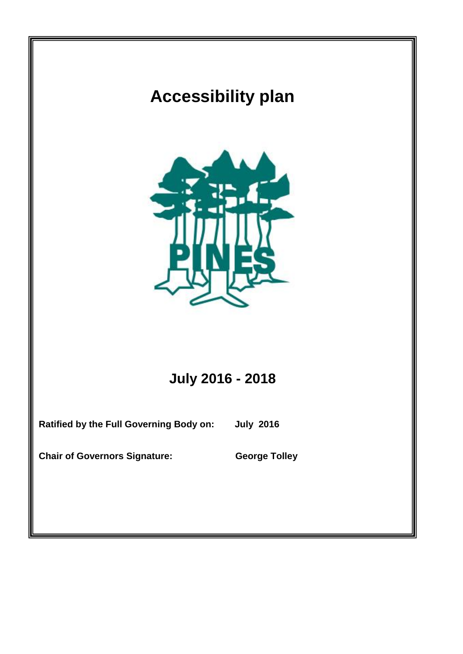## **Accessibility plan**



## **July 2016 - 2018**

**Ratified by the Full Governing Body on: July 2016**

**Chair of Governors Signature: George Tolley**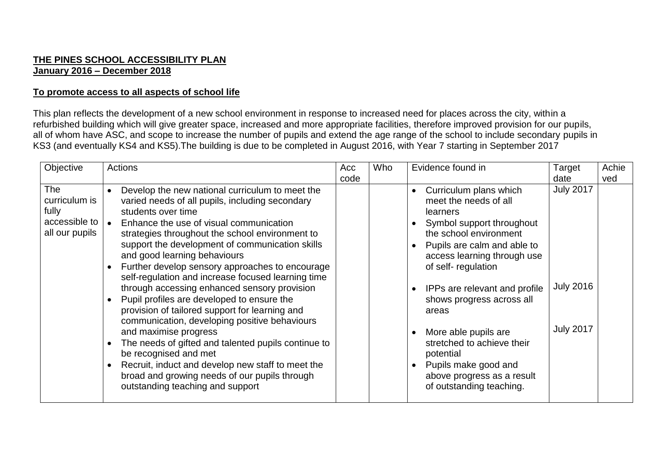## **THE PINES SCHOOL ACCESSIBILITY PLAN January 2016 – December 2018**

## **To promote access to all aspects of school life**

This plan reflects the development of a new school environment in response to increased need for places across the city, within a refurbished building which will give greater space, increased and more appropriate facilities, therefore improved provision for our pupils, all of whom have ASC, and scope to increase the number of pupils and extend the age range of the school to include secondary pupils in KS3 (and eventually KS4 and KS5).The building is due to be completed in August 2016, with Year 7 starting in September 2017

| Objective                                                               | <b>Actions</b>                                                                                                                                                                                                                                                                                                                                                                                                                                                                                                                                                                                                                                                                                                                                                                                                                                                                      | Acc<br>code | Who | Evidence found in                                                                                                                                                                                                                                                                                                                                                                                                                  | Target<br>date                                           | Achie<br>ved |
|-------------------------------------------------------------------------|-------------------------------------------------------------------------------------------------------------------------------------------------------------------------------------------------------------------------------------------------------------------------------------------------------------------------------------------------------------------------------------------------------------------------------------------------------------------------------------------------------------------------------------------------------------------------------------------------------------------------------------------------------------------------------------------------------------------------------------------------------------------------------------------------------------------------------------------------------------------------------------|-------------|-----|------------------------------------------------------------------------------------------------------------------------------------------------------------------------------------------------------------------------------------------------------------------------------------------------------------------------------------------------------------------------------------------------------------------------------------|----------------------------------------------------------|--------------|
| <b>The</b><br>curriculum is<br>fully<br>accessible to<br>all our pupils | Develop the new national curriculum to meet the<br>varied needs of all pupils, including secondary<br>students over time<br>Enhance the use of visual communication<br>$\bullet$<br>strategies throughout the school environment to<br>support the development of communication skills<br>and good learning behaviours<br>Further develop sensory approaches to encourage<br>self-regulation and increase focused learning time<br>through accessing enhanced sensory provision<br>Pupil profiles are developed to ensure the<br>provision of tailored support for learning and<br>communication, developing positive behaviours<br>and maximise progress<br>The needs of gifted and talented pupils continue to<br>be recognised and met<br>Recruit, induct and develop new staff to meet the<br>broad and growing needs of our pupils through<br>outstanding teaching and support |             |     | Curriculum plans which<br>meet the needs of all<br>learners<br>Symbol support throughout<br>the school environment<br>Pupils are calm and able to<br>access learning through use<br>of self-regulation<br>IPPs are relevant and profile<br>shows progress across all<br>areas<br>More able pupils are<br>stretched to achieve their<br>potential<br>Pupils make good and<br>above progress as a result<br>of outstanding teaching. | <b>July 2017</b><br><b>July 2016</b><br><b>July 2017</b> |              |